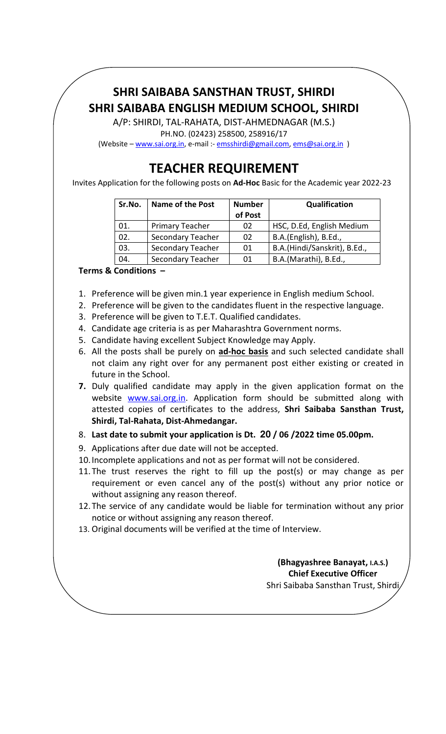## SHRI SAIBABA SANSTHAN TRUST, SHIRDI SHRI SAIBABA ENGLISH MEDIUM SCHOOL, SHIRDI

A/P: SHIRDI, TAL-RAHATA, DIST-AHMEDNAGAR (M.S.) PH.NO. (02423) 258500, 258916/17

(Website – www.sai.org.in, e-mail :- emsshirdi@gmail.com, ems@sai.org.in )

## TEACHER REQUIREMENT

Invites Application for the following posts on Ad-Hoc Basic for the Academic year 2022-23

| Sr.No. | <b>Name of the Post</b> | <b>Number</b><br>of Post | Qualification                |  |  |
|--------|-------------------------|--------------------------|------------------------------|--|--|
| 01.    | <b>Primary Teacher</b>  | 02                       | HSC, D.Ed, English Medium    |  |  |
| 02.    | Secondary Teacher       | 02                       | B.A.(English), B.Ed.,        |  |  |
| 03.    | Secondary Teacher       | 01                       | B.A.(Hindi/Sanskrit), B.Ed., |  |  |
| 04.    | Secondary Teacher       | 01                       | B.A.(Marathi), B.Ed.,        |  |  |

Terms & Conditions –

- 1. Preference will be given min.1 year experience in English medium School.
- 2. Preference will be given to the candidates fluent in the respective language.
- 3. Preference will be given to T.E.T. Qualified candidates.
- 4. Candidate age criteria is as per Maharashtra Government norms.
- 5. Candidate having excellent Subject Knowledge may Apply.
- 6. All the posts shall be purely on ad-hoc basis and such selected candidate shall not claim any right over for any permanent post either existing or created in future in the School.
- 7. Duly qualified candidate may apply in the given application format on the website www.sai.org.in. Application form should be submitted along with attested copies of certificates to the address, Shri Saibaba Sansthan Trust, Shirdi, Tal-Rahata, Dist-Ahmedangar.
- 8. Last date to submit your application is Dt. 20 / 06 /2022 time 05.00pm.
- 9. Applications after due date will not be accepted.
- 10.Incomplete applications and not as per format will not be considered.
- 11.The trust reserves the right to fill up the post(s) or may change as per requirement or even cancel any of the post(s) without any prior notice or without assigning any reason thereof.
- 12.The service of any candidate would be liable for termination without any prior notice or without assigning any reason thereof.
- 13. Original documents will be verified at the time of Interview.

(Bhagyashree Banayat, I.A.S.) Chief Executive Officer Shri Saibaba Sansthan Trust, Shirdi